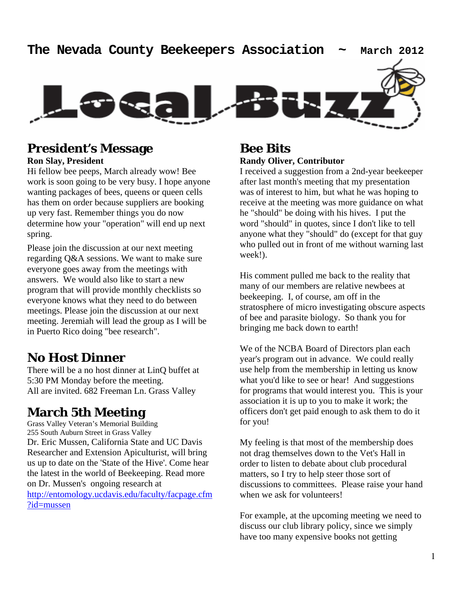

# **President's Message**

#### **Ron Slay, President**

Hi fellow bee peeps, March already wow! Bee work is soon going to be very busy. I hope anyone wanting packages of bees, queens or queen cells has them on order because suppliers are booking up very fast. Remember things you do now determine how your "operation" will end up next spring.

Please join the discussion at our next meeting regarding Q&A sessions. We want to make sure everyone goes away from the meetings with answers. We would also like to start a new program that will provide monthly checklists so everyone knows what they need to do between meetings. Please join the discussion at our next meeting. Jeremiah will lead the group as I will be in Puerto Rico doing "bee research".

## **No Host Dinner**

There will be a no host dinner at LinQ buffet at 5:30 PM Monday before the meeting. All are invited. 682 Freeman Ln. Grass Valley

# **March 5th Meeting**

Grass Valley Veteran's Memorial Building 255 South Auburn Street in Grass Valley Dr. Eric Mussen, California State and UC Davis Researcher and Extension Apiculturist, will bring us up to date on the 'State of the Hive'. Come hear the latest in the world of Beekeeping. Read more on Dr. Mussen's ongoing research at

[http://entomology.ucdavis.edu/faculty/facpage.cfm](http://entomology.ucdavis.edu/faculty/facpage.cfm?id=mussen) [?id=mussen](http://entomology.ucdavis.edu/faculty/facpage.cfm?id=mussen)

## **Bee Bits Randy Oliver, Contributor**

I received a suggestion from a 2nd-year beekeeper after last month's meeting that my presentation was of interest to him, but what he was hoping to receive at the meeting was more guidance on what he "should" be doing with his hives. I put the word "should" in quotes, since I don't like to tell anyone what they "should" do (except for that guy who pulled out in front of me without warning last week!).

His comment pulled me back to the reality that many of our members are relative newbees at beekeeping. I, of course, am off in the stratosphere of micro investigating obscure aspects of bee and parasite biology. So thank you for bringing me back down to earth!

We of the NCBA Board of Directors plan each year's program out in advance. We could really use help from the membership in letting us know what you'd like to see or hear! And suggestions for programs that would interest you. This is your association it is up to you to make it work; the officers don't get paid enough to ask them to do it for you!

My feeling is that most of the membership does not drag themselves down to the Vet's Hall in order to listen to debate about club procedural matters, so I try to help steer those sort of discussions to committees. Please raise your hand when we ask for volunteers!

For example, at the upcoming meeting we need to discuss our club library policy, since we simply have too many expensive books not getting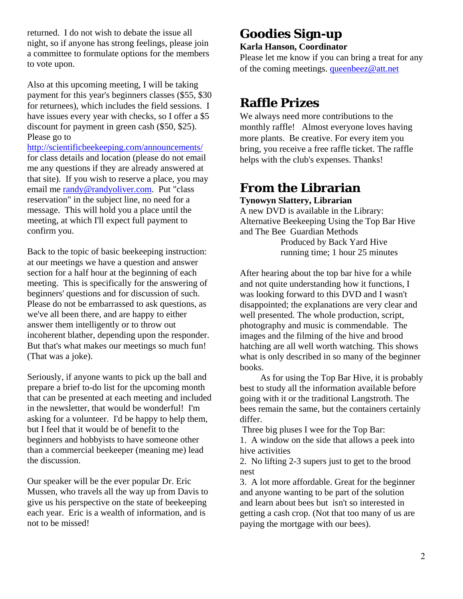returned. I do not wish to debate the issue all night, so if anyone has strong feelings, please join a committee to formulate options for the members to vote upon.

Also at this upcoming meeting, I will be taking payment for this year's beginners classes (\$55, \$30 for returnees), which includes the field sessions. I have issues every year with checks, so I offer a \$5 discount for payment in green cash (\$50, \$25). Please go to

<http://scientificbeekeeping.com/announcements/> for class details and location (please do not email me any questions if they are already answered at that site). If you wish to reserve a place, you may email me [randy@randyoliver.com.](mailto:randy@randyoliver.com) Put "class reservation" in the subject line, no need for a message. This will hold you a place until the meeting, at which I'll expect full payment to confirm you.

Back to the topic of basic beekeeping instruction: at our meetings we have a question and answer section for a half hour at the beginning of each meeting. This is specifically for the answering of beginners' questions and for discussion of such. Please do not be embarrassed to ask questions, as we've all been there, and are happy to either answer them intelligently or to throw out incoherent blather, depending upon the responder. But that's what makes our meetings so much fun! (That was a joke).

Seriously, if anyone wants to pick up the ball and prepare a brief to-do list for the upcoming month that can be presented at each meeting and included in the newsletter, that would be wonderful! I'm asking for a volunteer. I'd be happy to help them, but I feel that it would be of benefit to the beginners and hobbyists to have someone other than a commercial beekeeper (meaning me) lead the discussion.

Our speaker will be the ever popular Dr. Eric Mussen, who travels all the way up from Davis to give us his perspective on the state of beekeeping each year. Eric is a wealth of information, and is not to be missed!

## **Goodies Sign-up**

#### **Karla Hanson, Coordinator**

Please let me know if you can bring a treat for any of the coming meetings. [queenbeez@att.net](mailto:queenbeez@att.net) 

# **Raffle Prizes**

We always need more contributions to the monthly raffle! Almost everyone loves having more plants. Be creative. For every item you bring, you receive a free raffle ticket. The raffle helps with the club's expenses. Thanks!

### **From the Librarian Tynowyn Slattery, Librarian**

A new DVD is available in the Library: Alternative Beekeeping Using the Top Bar Hive and The Bee Guardian Methods

 Produced by Back Yard Hive running time; 1 hour 25 minutes

After hearing about the top bar hive for a while and not quite understanding how it functions, I was looking forward to this DVD and I wasn't disappointed; the explanations are very clear and well presented. The whole production, script, photography and music is commendable. The images and the filming of the hive and brood hatching are all well worth watching. This shows what is only described in so many of the beginner books.

 As for using the Top Bar Hive, it is probably best to study all the information available before going with it or the traditional Langstroth. The bees remain the same, but the containers certainly differ.

Three big pluses I wee for the Top Bar:

1. A window on the side that allows a peek into hive activities

2. No lifting 2-3 supers just to get to the brood nest

3. A lot more affordable. Great for the beginner and anyone wanting to be part of the solution and learn about bees but isn't so interested in getting a cash crop. (Not that too many of us are paying the mortgage with our bees).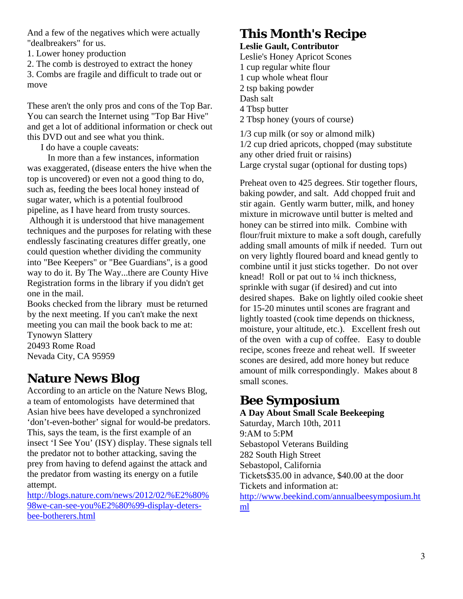And a few of the negatives which were actually "dealbreakers" for us.

1. Lower honey production

2. The comb is destroyed to extract the honey

3. Combs are fragile and difficult to trade out or move

These aren't the only pros and cons of the Top Bar. You can search the Internet using "Top Bar Hive" and get a lot of additional information or check out this DVD out and see what you think.

I do have a couple caveats:

 In more than a few instances, information was exaggerated, (disease enters the hive when the top is uncovered) or even not a good thing to do, such as, feeding the bees local honey instead of sugar water, which is a potential foulbrood pipeline, as I have heard from trusty sources. Although it is understood that hive management techniques and the purposes for relating with these endlessly fascinating creatures differ greatly, one could question whether dividing the community into "Bee Keepers" or "Bee Guardians", is a good way to do it. By The Way...there are County Hive Registration forms in the library if you didn't get one in the mail.

Books checked from the library must be returned by the next meeting. If you can't make the next meeting you can mail the book back to me at: Tynowyn Slattery 20493 Rome Road Nevada City, CA 95959

# **Nature News Blog**

According to an article on the Nature News Blog, a team of entomologists have determined that Asian hive bees have developed a synchronized 'don't-even-bother' signal for would-be predators. This, says the team, is the first example of an insect 'I See You' (ISY) display. These signals tell the predator not to bother attacking, saving the prey from having to defend against the attack and the predator from wasting its energy on a futile attempt.

[http://blogs.nature.com/news/2012/02/%E2%80%](http://blogs.nature.com/news/2012/02/%25E2%2580%2598we-can-see-you%25E2%2580%2599-display-deters-bee-botherers.html) [98we-can-see-you%E2%80%99-display-deters](http://blogs.nature.com/news/2012/02/%25E2%2580%2598we-can-see-you%25E2%2580%2599-display-deters-bee-botherers.html)[bee-botherers.html](http://blogs.nature.com/news/2012/02/%25E2%2580%2598we-can-see-you%25E2%2580%2599-display-deters-bee-botherers.html)

# **This Month's Recipe**

**Leslie Gault, Contributor** Leslie's Honey Apricot Scones 1 cup regular white flour 1 cup whole wheat flour 2 tsp baking powder Dash salt 4 Tbsp butter 2 Tbsp honey (yours of course)

1/3 cup milk (or soy or almond milk) 1/2 cup dried apricots, chopped (may substitute any other dried fruit or raisins) Large crystal sugar (optional for dusting tops)

Preheat oven to 425 degrees. Stir together flours, baking powder, and salt. Add chopped fruit and stir again. Gently warm butter, milk, and honey mixture in microwave until butter is melted and honey can be stirred into milk. Combine with flour/fruit mixture to make a soft dough, carefully adding small amounts of milk if needed. Turn out on very lightly floured board and knead gently to combine until it just sticks together. Do not over knead! Roll or pat out to  $\frac{1}{4}$  inch thickness, sprinkle with sugar (if desired) and cut into desired shapes. Bake on lightly oiled cookie sheet for 15-20 minutes until scones are fragrant and lightly toasted (cook time depends on thickness, moisture, your altitude, etc.). Excellent fresh out of the oven with a cup of coffee. Easy to double recipe, scones freeze and reheat well. If sweeter scones are desired, add more honey but reduce amount of milk correspondingly. Makes about 8 small scones.

### **Bee Symposium A Day About Small Scale Beekeeping** Saturday, March 10th, 2011 9:AM to 5:PM

Sebastopol Veterans Building 282 South High Street Sebastopol, California Tickets\$35.00 in advance, \$40.00 at the door Tickets and information at: [http://www.beekind.com/annualbeesymposium.ht](http://www.beekind.com/annualbeesymposium.html) [ml](http://www.beekind.com/annualbeesymposium.html)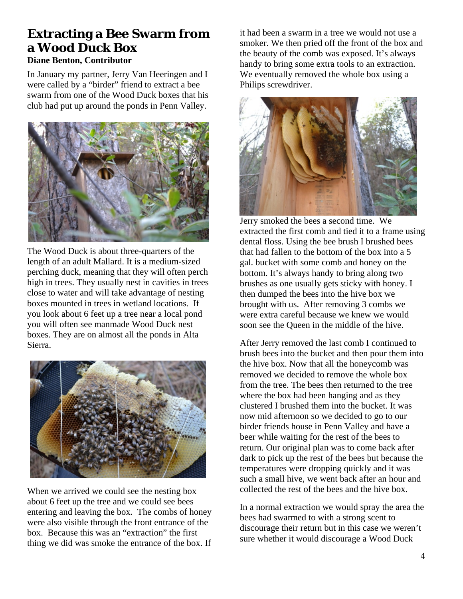## **Extracting a Bee Swarm from a Wood Duck Box Diane Benton, Contributor**

In January my partner, Jerry Van Heeringen and I were called by a "birder" friend to extract a bee swarm from one of the Wood Duck boxes that his club had put up around the ponds in Penn Valley.



The Wood Duck is about three-quarters of the length of an adult Mallard. It is a medium-sized perching duck, meaning that they will often perch high in trees. They usually nest in cavities in trees close to water and will take advantage of nesting boxes mounted in trees in wetland locations. If you look about 6 feet up a tree near a local pond you will often see manmade Wood Duck nest boxes. They are on almost all the ponds in Alta Sierra.



When we arrived we could see the nesting box about 6 feet up the tree and we could see bees entering and leaving the box. The combs of honey were also visible through the front entrance of the box. Because this was an "extraction" the first thing we did was smoke the entrance of the box. If it had been a swarm in a tree we would not use a smoker. We then pried off the front of the box and the beauty of the comb was exposed. It's always handy to bring some extra tools to an extraction. We eventually removed the whole box using a Philips screwdriver.



Jerry smoked the bees a second time. We extracted the first comb and tied it to a frame using dental floss. Using the bee brush I brushed bees that had fallen to the bottom of the box into a 5 gal. bucket with some comb and honey on the bottom. It's always handy to bring along two brushes as one usually gets sticky with honey. I then dumped the bees into the hive box we brought with us. After removing 3 combs we were extra careful because we knew we would soon see the Queen in the middle of the hive.

After Jerry removed the last comb I continued to brush bees into the bucket and then pour them into the hive box. Now that all the honeycomb was removed we decided to remove the whole box from the tree. The bees then returned to the tree where the box had been hanging and as they clustered I brushed them into the bucket. It was now mid afternoon so we decided to go to our birder friends house in Penn Valley and have a beer while waiting for the rest of the bees to return. Our original plan was to come back after dark to pick up the rest of the bees but because the temperatures were dropping quickly and it was such a small hive, we went back after an hour and collected the rest of the bees and the hive box.

In a normal extraction we would spray the area the bees had swarmed to with a strong scent to discourage their return but in this case we weren't sure whether it would discourage a Wood Duck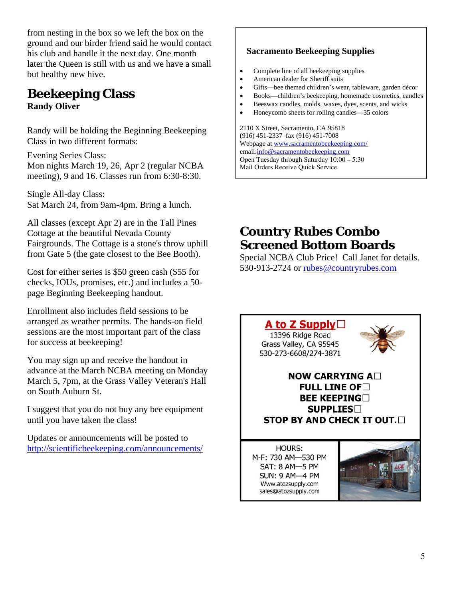from nesting in the box so we left the box on the ground and our birder friend said he would contact his club and handle it the next day. One month later the Queen is still with us and we have a small but healthy new hive.

## **Beekeeping Class Randy Oliver**

Randy will be holding the Beginning Beekeeping Class in two different formats:

Evening Series Class: Mon nights March 19, 26, Apr 2 (regular NCBA

meeting), 9 and 16. Classes run from 6:30-8:30.

Single All-day Class: Sat March 24, from 9am-4pm. Bring a lunch.

All classes (except Apr 2) are in the Tall Pines Cottage at the beautiful Nevada County Fairgrounds. The Cottage is a stone's throw uphill from Gate 5 (the gate closest to the Bee Booth).

Cost for either series is \$50 green cash (\$55 for checks, IOUs, promises, etc.) and includes a 50 page Beginning Beekeeping handout.

Enrollment also includes field sessions to be arranged as weather permits. The hands-on field sessions are the most important part of the class for success at beekeeping!

You may sign up and receive the handout in advance at the March NCBA meeting on Monday March 5, 7pm, at the Grass Valley Veteran's Hall on South Auburn St.

I suggest that you do not buy any bee equipment until you have taken the class!

Updates or announcements will be posted to <http://scientificbeekeeping.com/announcements/>

### **Sacramento Beekeeping Supplies**

- Complete line of all beekeeping supplies
- American dealer for Sheriff suits
- Gifts—bee themed children's wear, tableware, garden décor
- Books—children's beekeeping, homemade cosmetics, candles
- Beeswax candles, molds, waxes, dyes, scents, and wicks
- Honeycomb sheets for rolling candles—35 colors

2110 X Street, Sacramento, CA 95818 (916) 451-2337 fax (916) 451-7008 Webpage at [www.sacramentobeekeeping.com/](http://www.sacramentobeekeeping.com/) email:[info@sacramentobeekeeping.com](mailto:%20info@sacramentobeekeeping.com) Open Tuesday through Saturday 10:00 – 5:30 Mail Orders Receive Quick Service

## **Country Rubes Combo Screened Bottom Boards**

Special NCBA Club Price! Call Janet for details. 530-913-2724 or [rubes@countryrubes.com](mailto:rubes@countryrubes.com)

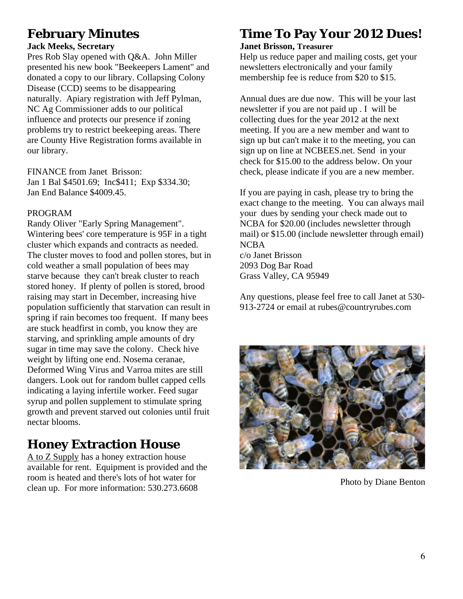# **February Minutes**

### **Jack Meeks, Secretary**

Pres Rob Slay opened with Q&A. John Miller presented his new book "Beekeepers Lament" and donated a copy to our library. Collapsing Colony Disease (CCD) seems to be disappearing naturally. Apiary registration with Jeff Pylman, NC Ag Commissioner adds to our political influence and protects our presence if zoning problems try to restrict beekeeping areas. There are County Hive Registration forms available in our library.

FINANCE from Janet Brisson: Jan 1 Bal \$4501.69; Inc\$411; Exp \$334.30; Jan End Balance \$4009.45.

#### PROGRAM

Randy Oliver "Early Spring Management". Wintering bees' core temperature is 95F in a tight cluster which expands and contracts as needed. The cluster moves to food and pollen stores, but in cold weather a small population of bees may starve because they can't break cluster to reach stored honey. If plenty of pollen is stored, brood raising may start in December, increasing hive population sufficiently that starvation can result in spring if rain becomes too frequent. If many bees are stuck headfirst in comb, you know they are starving, and sprinkling ample amounts of dry sugar in time may save the colony. Check hive weight by lifting one end. Nosema ceranae, Deformed Wing Virus and Varroa mites are still dangers. Look out for random bullet capped cells indicating a laying infertile worker. Feed sugar syrup and pollen supplement to stimulate spring growth and prevent starved out colonies until fruit nectar blooms.

# **Honey Extraction House**

A to Z Supply has a honey extraction house available for rent. Equipment is provided and the room is heated and there's lots of hot water for clean up. For more information: 530.273.6608

# **Time To Pay Your 2012 Dues!**

#### **Janet Brisson, Treasurer**

Help us reduce paper and mailing costs, get your newsletters electronically and your family membership fee is reduce from \$20 to \$15.

Annual dues are due now. This will be your last newsletter if you are not paid up . I will be collecting dues for the year 2012 at the next meeting. If you are a new member and want to sign up but can't make it to the meeting, you can sign up on line at NCBEES.net. Send in your check for \$15.00 to the address below. On your check, please indicate if you are a new member.

If you are paying in cash, please try to bring the exact change to the meeting. You can always mail your dues by sending your check made out to NCBA for \$20.00 (includes newsletter through mail) or \$15.00 (include newsletter through email) NCBA c/o Janet Brisson 2093 Dog Bar Road Grass Valley, CA 95949

Any questions, please feel free to call Janet at 530- 913-2724 or email at rubes@countryrubes.com



Photo by Diane Benton